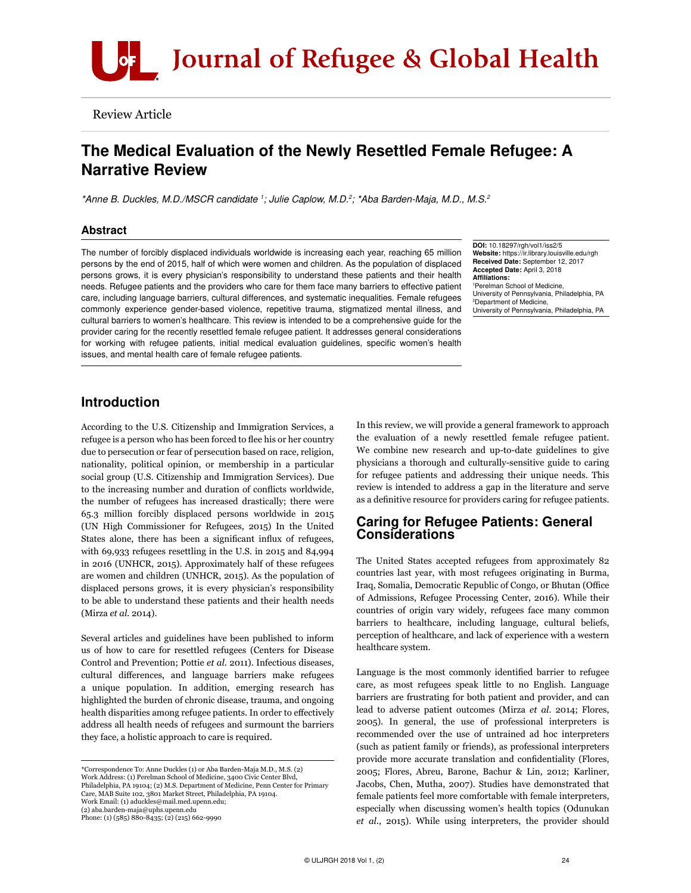

Review Article

# The Medical Evaluation of the Newly Resettled Female Refugee: A Narrative Review

*\*Anne B. Duckles, M.D./MSCR candidate 1 ; Julie Caplow, M.D.2 ; \*Aba Barden-Maja, M.D., M.S.2*

# Abstract

The number of forcibly displaced individuals worldwide is increasing each year, reaching 65 million persons by the end of 2015, half of which were women and children. As the population of displaced persons grows, it is every physician's responsibility to understand these patients and their health needs. Refugee patients and the providers who care for them face many barriers to effective patient care, including language barriers, cultural differences, and systematic inequalities. Female refugees commonly experience gender-based violence, repetitive trauma, stigmatized mental illness, and cultural barriers to women's healthcare. This review is intended to be a comprehensive guide for the provider caring for the recently resettled female refugee patient. It addresses general considerations for working with refugee patients, initial medical evaluation guidelines, specific women's health issues, and mental health care of female refugee patients.

DOI: 10.18297/rgh/vol1/iss2/5 Website: https://ir.library.louisville.edu/rgh Received Date: September 12, 2017 Accepted Date: April 3, 2018 Affiliations: 1 Perelman School of Medicine, University of Pennsylvania, Philadelphia, PA 2 Department of Medicine, University of Pennsylvania, Philadelphia, PA

# Introduction

According to the U.S. Citizenship and Immigration Services, a refugee is a person who has been forced to flee his or her country due to persecution or fear of persecution based on race, religion, nationality, political opinion, or membership in a particular social group (U.S. Citizenship and Immigration Services). Due to the increasing number and duration of conflicts worldwide, the number of refugees has increased drastically; there were 65.3 million forcibly displaced persons worldwide in 2015 (UN High Commissioner for Refugees, 2015) In the United States alone, there has been a significant influx of refugees, with 69,933 refugees resettling in the U.S. in 2015 and 84,994 in 2016 (UNHCR, 2015). Approximately half of these refugees are women and children (UNHCR, 2015). As the population of displaced persons grows, it is every physician's responsibility to be able to understand these patients and their health needs (Mirza *et al.* 2014).

Several articles and guidelines have been published to inform us of how to care for resettled refugees (Centers for Disease Control and Prevention; Pottie *et al.* 2011). Infectious diseases, cultural differences, and language barriers make refugees a unique population. In addition, emerging research has highlighted the burden of chronic disease, trauma, and ongoing health disparities among refugee patients. In order to effectively address all health needs of refugees and surmount the barriers they face, a holistic approach to care is required.

In this review, we will provide a general framework to approach the evaluation of a newly resettled female refugee patient. We combine new research and up-to-date guidelines to give physicians a thorough and culturally-sensitive guide to caring for refugee patients and addressing their unique needs. This review is intended to address a gap in the literature and serve as a definitive resource for providers caring for refugee patients.

# Caring for Refugee Patients: General Considerations

The United States accepted refugees from approximately 82 countries last year, with most refugees originating in Burma, Iraq, Somalia, Democratic Republic of Congo, or Bhutan (Office of Admissions, Refugee Processing Center, 2016). While their countries of origin vary widely, refugees face many common barriers to healthcare, including language, cultural beliefs, perception of healthcare, and lack of experience with a western healthcare system.

Language is the most commonly identified barrier to refugee care, as most refugees speak little to no English. Language barriers are frustrating for both patient and provider, and can lead to adverse patient outcomes (Mirza *et al.* 2014; Flores, 2005). In general, the use of professional interpreters is recommended over the use of untrained ad hoc interpreters (such as patient family or friends), as professional interpreters provide more accurate translation and confidentiality (Flores, 2005; Flores, Abreu, Barone, Bachur & Lin, 2012; Karliner, Jacobs, Chen, Mutha, 2007). Studies have demonstrated that female patients feel more comfortable with female interpreters, especially when discussing women's health topics (Odunukan *et al.*, 2015). While using interpreters, the provider should

<sup>\*</sup>Correspondence To: Anne Duckles (1) or Aba Barden-Maja M.D., M.S. (2) Work Address: (1) Perelman School of Medicine, 3400 Civic Center Blvd, Philadelphia, PA 19104; (2) M.S. Department of Medicine, Penn Center for Primary Care, MAB Suite 102, 3801 Market Street, Philadelphia, PA 19104. Work Email: (1) aduckles@mail.med.upenn.edu; (2) aba.barden-maja@uphs.upenn.edu Phone: (1) (585) 880-8435; (2) (215) 662-9990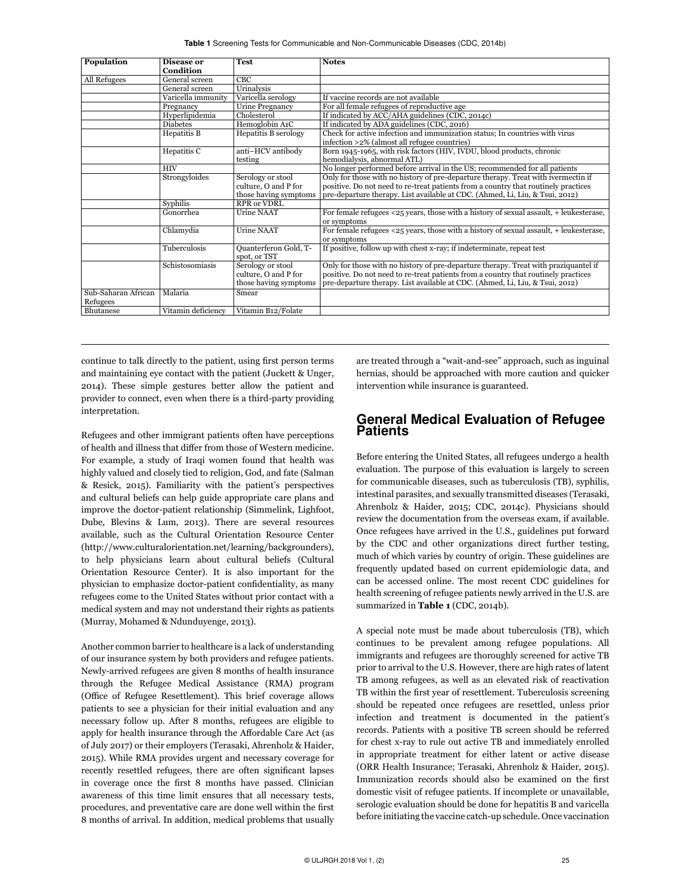|  |  |  |  | Table 1 Screening Tests for Communicable and Non-Communicable Diseases (CDC, 2014b) |  |  |  |
|--|--|--|--|-------------------------------------------------------------------------------------|--|--|--|
|--|--|--|--|-------------------------------------------------------------------------------------|--|--|--|

| Population                      | Disease or<br>Condition | <b>Test</b>                                                        | <b>Notes</b>                                                                                                                                                                                                                                            |
|---------------------------------|-------------------------|--------------------------------------------------------------------|---------------------------------------------------------------------------------------------------------------------------------------------------------------------------------------------------------------------------------------------------------|
| All Refugees                    | General screen          | CBC                                                                |                                                                                                                                                                                                                                                         |
|                                 | General screen          | Urinalysis                                                         |                                                                                                                                                                                                                                                         |
|                                 | Varicella immunity      | Varicella serology                                                 | If vaccine records are not available                                                                                                                                                                                                                    |
|                                 | Pregnancy               | Urine Pregnancy                                                    | For all female refugees of reproductive age                                                                                                                                                                                                             |
|                                 | Hyperlipidemia          | Cholesterol                                                        | If indicated by ACC/AHA guidelines (CDC, 2014c)                                                                                                                                                                                                         |
|                                 | <b>Diabetes</b>         | Hemoglobin A1C                                                     | If indicated by ADA guidelines (CDC, 2016)                                                                                                                                                                                                              |
|                                 | Hepatitis B             | Hepatitis B serology                                               | Check for active infection and immunization status; In countries with virus<br>infection >2% (almost all refugee countries)                                                                                                                             |
|                                 | Hepatitis C             | anti-HCV antibody<br>testing                                       | Born 1945-1965, with risk factors (HIV, IVDU, blood products, chronic<br>hemodialysis, abnormal ATL)                                                                                                                                                    |
|                                 | <b>HIV</b>              |                                                                    | No longer performed before arrival in the US; recommended for all patients                                                                                                                                                                              |
|                                 | Strongyloides           | Serology or stool<br>culture, O and P for<br>those having symptoms | Only for those with no history of pre-departure therapy. Treat with ivermectin if<br>positive. Do not need to re-treat patients from a country that routinely practices<br>pre-departure therapy. List available at CDC. (Ahmed, Li, Liu, & Tsui, 2012) |
|                                 | Syphilis                | <b>RPR or VDRL</b>                                                 |                                                                                                                                                                                                                                                         |
|                                 | Gonorrhea               | <b>Urine NAAT</b>                                                  | For female refugees $\langle 25 \rangle$ years, those with a history of sexual assault, $+$ leukesterase,<br>or symptoms                                                                                                                                |
|                                 | Chlamydia               | <b>Urine NAAT</b>                                                  | For female refugees $\langle 25 \rangle$ years, those with a history of sexual assault, + leukesterase,<br>or symptoms                                                                                                                                  |
|                                 | Tuberculosis            | Quanterferon Gold, T-<br>spot, or TST                              | If positive, follow up with chest x-ray; if indeterminate, repeat test                                                                                                                                                                                  |
|                                 | Schistosomiasis         | Serology or stool                                                  | Only for those with no history of pre-departure therapy. Treat with praziquantel if                                                                                                                                                                     |
|                                 |                         | culture, O and P for<br>those having symptoms                      | positive. Do not need to re-treat patients from a country that routinely practices<br>pre-departure therapy. List available at CDC. (Ahmed, Li, Liu, & Tsui, 2012)                                                                                      |
| Sub-Saharan African<br>Refugees | Malaria                 | Smear                                                              |                                                                                                                                                                                                                                                         |
| Bhutanese                       | Vitamin deficiency      | Vitamin B12/Folate                                                 |                                                                                                                                                                                                                                                         |

continue to talk directly to the patient, using first person terms and maintaining eye contact with the patient (Juckett & Unger, 2014). These simple gestures better allow the patient and provider to connect, even when there is a third-party providing interpretation.

Refugees and other immigrant patients often have perceptions of health and illness that differ from those of Western medicine. For example, a study of Iraqi women found that health was highly valued and closely tied to religion, God, and fate (Salman & Resick, 2015). Familiarity with the patient's perspectives and cultural beliefs can help guide appropriate care plans and improve the doctor-patient relationship (Simmelink, Lighfoot, Dube, Blevins & Lum, 2013). There are several resources available, such as the Cultural Orientation Resource Center (http://www.culturalorientation.net/learning/backgrounders), to help physicians learn about cultural beliefs (Cultural Orientation Resource Center). It is also important for the physician to emphasize doctor-patient confidentiality, as many refugees come to the United States without prior contact with a medical system and may not understand their rights as patients (Murray, Mohamed & Ndunduyenge, 2013).

Another common barrier to healthcare is a lack of understanding of our insurance system by both providers and refugee patients. Newly-arrived refugees are given 8 months of health insurance through the Refugee Medical Assistance (RMA) program (Office of Refugee Resettlement). This brief coverage allows patients to see a physician for their initial evaluation and any necessary follow up. After 8 months, refugees are eligible to apply for health insurance through the Affordable Care Act (as of July 2017) or their employers (Terasaki, Ahrenholz & Haider, 2015). While RMA provides urgent and necessary coverage for recently resettled refugees, there are often significant lapses in coverage once the first 8 months have passed. Clinician awareness of this time limit ensures that all necessary tests, procedures, and preventative care are done well within the first 8 months of arrival. In addition, medical problems that usually

are treated through a "wait-and-see" approach, such as inguinal hernias, should be approached with more caution and quicker intervention while insurance is guaranteed.

# General Medical Evaluation of Refugee **Patients**

Before entering the United States, all refugees undergo a health evaluation. The purpose of this evaluation is largely to screen for communicable diseases, such as tuberculosis (TB), syphilis, intestinal parasites, and sexually transmitted diseases (Terasaki, Ahrenholz & Haider, 2015; CDC, 2014c). Physicians should review the documentation from the overseas exam, if available. Once refugees have arrived in the U.S., guidelines put forward by the CDC and other organizations direct further testing, much of which varies by country of origin. These guidelines are frequently updated based on current epidemiologic data, and can be accessed online. The most recent CDC guidelines for health screening of refugee patients newly arrived in the U.S. are summarized in **Table 1** (CDC, 2014b).

A special note must be made about tuberculosis (TB), which continues to be prevalent among refugee populations. All immigrants and refugees are thoroughly screened for active TB prior to arrival to the U.S. However, there are high rates of latent TB among refugees, as well as an elevated risk of reactivation TB within the first year of resettlement. Tuberculosis screening should be repeated once refugees are resettled, unless prior infection and treatment is documented in the patient's records. Patients with a positive TB screen should be referred for chest x-ray to rule out active TB and immediately enrolled in appropriate treatment for either latent or active disease (ORR Health Insurance; Terasaki, Ahrenholz & Haider, 2015). Immunization records should also be examined on the first domestic visit of refugee patients. If incomplete or unavailable, serologic evaluation should be done for hepatitis B and varicella before initiating the vaccine catch-up schedule. Once vaccination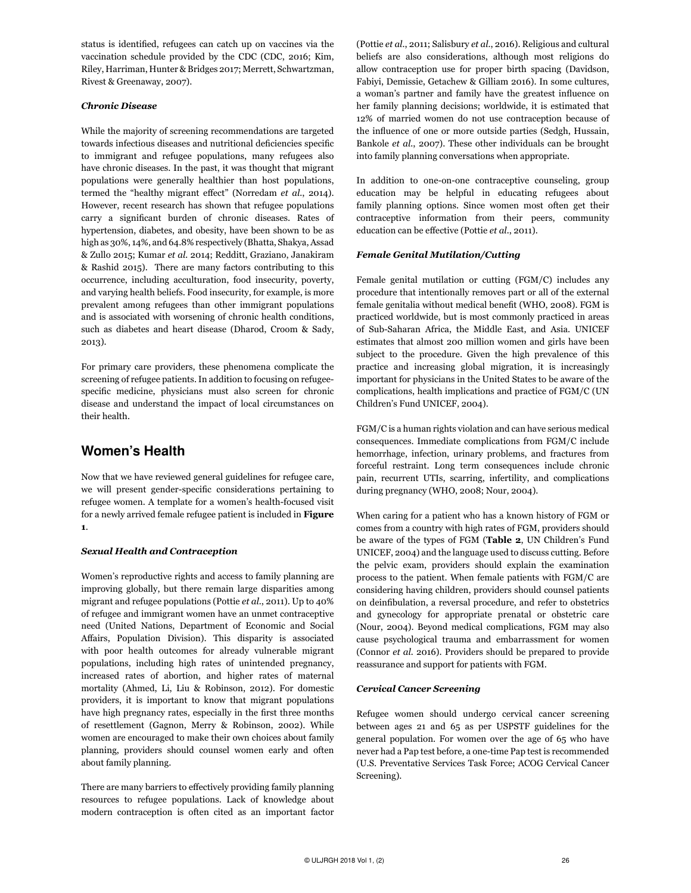status is identified, refugees can catch up on vaccines via the vaccination schedule provided by the CDC (CDC, 2016; Kim, Riley, Harriman, Hunter & Bridges 2017; Merrett, Schwartzman, Rivest & Greenaway, 2007).

# *Chronic Disease*

While the majority of screening recommendations are targeted towards infectious diseases and nutritional deficiencies specific to immigrant and refugee populations, many refugees also have chronic diseases. In the past, it was thought that migrant populations were generally healthier than host populations, termed the "healthy migrant effect" (Norredam *et al.*, 2014). However, recent research has shown that refugee populations carry a significant burden of chronic diseases. Rates of hypertension, diabetes, and obesity, have been shown to be as high as 30%, 14%, and 64.8% respectively (Bhatta, Shakya, Assad & Zullo 2015; Kumar *et al.* 2014; Redditt, Graziano, Janakiram & Rashid 2015). There are many factors contributing to this occurrence, including acculturation, food insecurity, poverty, and varying health beliefs. Food insecurity, for example, is more prevalent among refugees than other immigrant populations and is associated with worsening of chronic health conditions, such as diabetes and heart disease (Dharod, Croom & Sady, 2013).

For primary care providers, these phenomena complicate the screening of refugee patients. In addition to focusing on refugeespecific medicine, physicians must also screen for chronic disease and understand the impact of local circumstances on their health.

# Women's Health

Now that we have reviewed general guidelines for refugee care, we will present gender-specific considerations pertaining to refugee women. A template for a women's health-focused visit for a newly arrived female refugee patient is included in **Figure 1**.

## *Sexual Health and Contraception*

Women's reproductive rights and access to family planning are improving globally, but there remain large disparities among migrant and refugee populations (Pottie *et al.*, 2011). Up to 40% of refugee and immigrant women have an unmet contraceptive need (United Nations, Department of Economic and Social Affairs, Population Division). This disparity is associated with poor health outcomes for already vulnerable migrant populations, including high rates of unintended pregnancy, increased rates of abortion, and higher rates of maternal mortality (Ahmed, Li, Liu & Robinson, 2012). For domestic providers, it is important to know that migrant populations have high pregnancy rates, especially in the first three months of resettlement (Gagnon, Merry & Robinson, 2002). While women are encouraged to make their own choices about family planning, providers should counsel women early and often about family planning.

There are many barriers to effectively providing family planning resources to refugee populations. Lack of knowledge about modern contraception is often cited as an important factor (Pottie *et al.*, 2011; Salisbury *et al.*, 2016). Religious and cultural beliefs are also considerations, although most religions do allow contraception use for proper birth spacing (Davidson, Fabiyi, Demissie, Getachew & Gilliam 2016). In some cultures, a woman's partner and family have the greatest influence on her family planning decisions; worldwide, it is estimated that 12% of married women do not use contraception because of the influence of one or more outside parties (Sedgh, Hussain, Bankole *et al.*, 2007). These other individuals can be brought into family planning conversations when appropriate.

In addition to one-on-one contraceptive counseling, group education may be helpful in educating refugees about family planning options. Since women most often get their contraceptive information from their peers, community education can be effective (Pottie *et al.*, 2011).

# *Female Genital Mutilation/Cutting*

Female genital mutilation or cutting (FGM/C) includes any procedure that intentionally removes part or all of the external female genitalia without medical benefit (WHO, 2008). FGM is practiced worldwide, but is most commonly practiced in areas of Sub-Saharan Africa, the Middle East, and Asia. UNICEF estimates that almost 200 million women and girls have been subject to the procedure. Given the high prevalence of this practice and increasing global migration, it is increasingly important for physicians in the United States to be aware of the complications, health implications and practice of FGM/C (UN Children's Fund UNICEF, 2004).

FGM/C is a human rights violation and can have serious medical consequences. Immediate complications from FGM/C include hemorrhage, infection, urinary problems, and fractures from forceful restraint. Long term consequences include chronic pain, recurrent UTIs, scarring, infertility, and complications during pregnancy (WHO, 2008; Nour, 2004).

When caring for a patient who has a known history of FGM or comes from a country with high rates of FGM, providers should be aware of the types of FGM (**Table 2**, UN Children's Fund UNICEF, 2004) and the language used to discuss cutting. Before the pelvic exam, providers should explain the examination process to the patient. When female patients with FGM/C are considering having children, providers should counsel patients on deinfibulation, a reversal procedure, and refer to obstetrics and gynecology for appropriate prenatal or obstetric care (Nour, 2004). Beyond medical complications, FGM may also cause psychological trauma and embarrassment for women (Connor *et al.* 2016). Providers should be prepared to provide reassurance and support for patients with FGM.

## *Cervical Cancer Screening*

Refugee women should undergo cervical cancer screening between ages 21 and 65 as per USPSTF guidelines for the general population. For women over the age of 65 who have never had a Pap test before, a one-time Pap test is recommended (U.S. Preventative Services Task Force; ACOG Cervical Cancer Screening).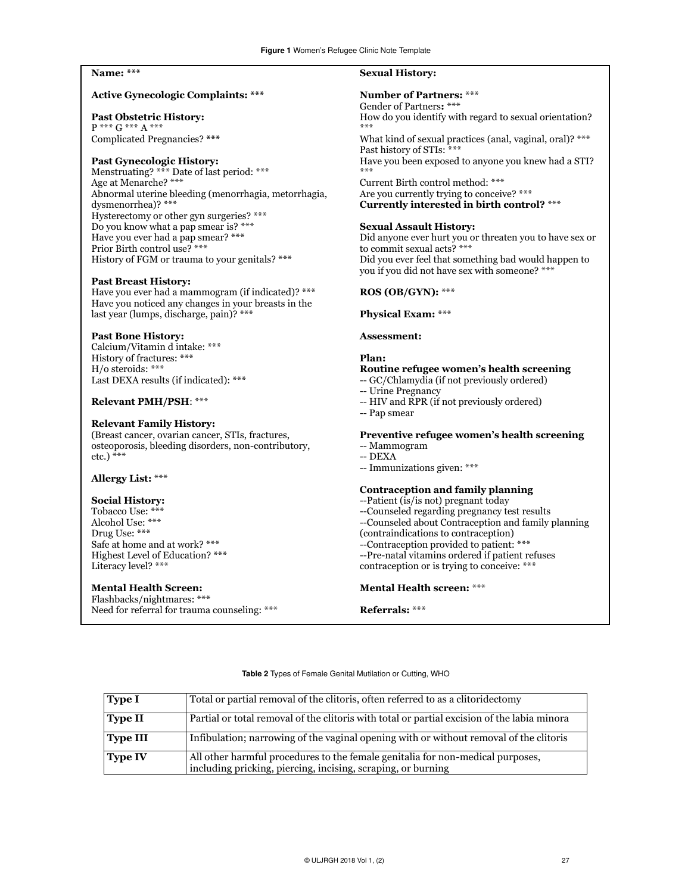# **Name: \*\*\***

### **Active Gynecologic Complaints: \*\*\***

## **Past Obstetric History:**

P \*\*\* G \*\*\* A \*\*\* Complicated Pregnancies? **\*\*\***

## **Past Gynecologic History:**

Menstruating? \*\*\* Date of last period: \*\*\* Age at Menarche? \*\*\* Abnormal uterine bleeding (menorrhagia, metorrhagia, dysmenorrhea)? \*\*\* Hysterectomy or other gyn surgeries? \*\*\* Do you know what a pap smear is? \*\*\* Have you ever had a pap smear? \*\*\* Prior Birth control use? \*\*\* History of FGM or trauma to your genitals? \*\*\*

### **Past Breast History:**

Have you ever had a mammogram (if indicated)? \*\*\* Have you noticed any changes in your breasts in the last year (lumps, discharge, pain)? \*\*\*

# **Past Bone History:**

Calcium/Vitamin d intake: \*\*\* History of fractures: \*\*\* H/o steroids: \*\*\* Last DEXA results (if indicated): \*\*\*

### **Relevant PMH/PSH**: \*\*\*

## **Relevant Family History:**

(Breast cancer, ovarian cancer, STIs, fractures, osteoporosis, bleeding disorders, non-contributory, etc.) \*\*\*

# **Allergy List:** \*\*\*

# **Social History:**

Tobacco Use: \*\*\* Alcohol Use: \*\*\* Drug Use: \*\*\* Safe at home and at work? \*\*\* Highest Level of Education? \*\*\* Literacy level? \*\*\*

# **Mental Health Screen:**

Flashbacks/nightmares: \*\*\* Need for referral for trauma counseling: \*\*\*

# **Sexual History:**

## **Number of Partners:** \*\*\*

Gender of Partners**:** \*\*\* How do you identify with regard to sexual orientation? \*\*\* What kind of sexual practices (anal, vaginal, oral)? \*\*\*

Past history of STIs: \*\*\* Have you been exposed to anyone you knew had a STI? \*\*\*

Current Birth control method: \*\*\* Are you currently trying to conceive? \*\*\* **Currently interested in birth control?** \*\*\*

### **Sexual Assault History:**

Did anyone ever hurt you or threaten you to have sex or to commit sexual acts? \*\*\* Did you ever feel that something bad would happen to you if you did not have sex with someone? \*\*\*

# **ROS (OB/GYN):** \*\*\*

## **Physical Exam:** \*\*\*

## **Assessment:**

## **Plan:**

### **Routine refugee women's health screening**

- -- GC/Chlamydia (if not previously ordered)
- -- Urine Pregnancy
- -- HIV and RPR (if not previously ordered)
- -- Pap smear

# **Preventive refugee women's health screening**

- -- Mammogram
- -- DEXA
- -- Immunizations given: \*\*\*

# **Contraception and family planning**

- --Patient (is/is not) pregnant today
- --Counseled regarding pregnancy test results
- --Counseled about Contraception and family planning
- (contraindications to contraception)
- --Contraception provided to patient: \*\*\*
- --Pre-natal vitamins ordered if patient refuses
- contraception or is trying to conceive: \*\*\*

#### **Mental Health screen:** \*\*\*

#### **Referrals:** \*\*\*

#### Table 2 Types of Female Genital Mutilation or Cutting, WHO

| Type I          | Total or partial removal of the clitoris, often referred to as a clitoridectomy                                                                |
|-----------------|------------------------------------------------------------------------------------------------------------------------------------------------|
| Type II         | Partial or total removal of the clitoris with total or partial excision of the labia minora                                                    |
| <b>Type III</b> | Infibulation; narrowing of the vaginal opening with or without removal of the clitoris                                                         |
| $\vert$ Type IV | All other harmful procedures to the female genitalia for non-medical purposes,<br>including pricking, piercing, incising, scraping, or burning |
|                 |                                                                                                                                                |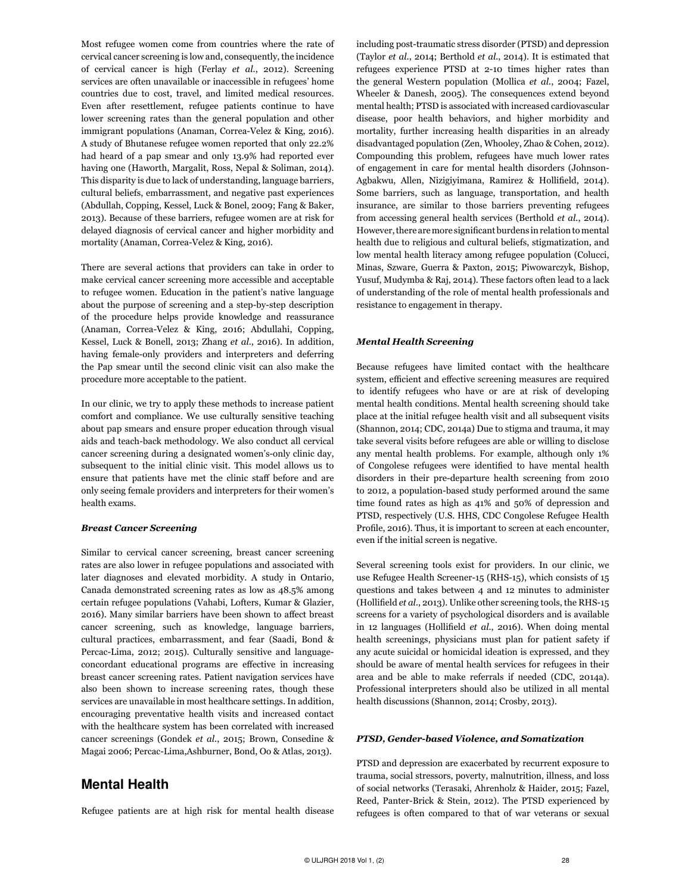Most refugee women come from countries where the rate of cervical cancer screening is low and, consequently, the incidence of cervical cancer is high (Ferlay *et al.*, 2012). Screening services are often unavailable or inaccessible in refugees' home countries due to cost, travel, and limited medical resources. Even after resettlement, refugee patients continue to have lower screening rates than the general population and other immigrant populations (Anaman, Correa-Velez & King, 2016). A study of Bhutanese refugee women reported that only 22.2% had heard of a pap smear and only 13.9% had reported ever having one (Haworth, Margalit, Ross, Nepal & Soliman, 2o14). This disparity is due to lack of understanding, language barriers, cultural beliefs, embarrassment, and negative past experiences (Abdullah, Copping, Kessel, Luck & Bonel, 2009; Fang & Baker, 2013). Because of these barriers, refugee women are at risk for delayed diagnosis of cervical cancer and higher morbidity and mortality (Anaman, Correa-Velez & King, 2016).

There are several actions that providers can take in order to make cervical cancer screening more accessible and acceptable to refugee women. Education in the patient's native language about the purpose of screening and a step-by-step description of the procedure helps provide knowledge and reassurance (Anaman, Correa-Velez & King, 2016; Abdullahi, Copping, Kessel, Luck & Bonell, 2013; Zhang *et al.*, 2016). In addition, having female-only providers and interpreters and deferring the Pap smear until the second clinic visit can also make the procedure more acceptable to the patient.

In our clinic, we try to apply these methods to increase patient comfort and compliance. We use culturally sensitive teaching about pap smears and ensure proper education through visual aids and teach-back methodology. We also conduct all cervical cancer screening during a designated women's-only clinic day, subsequent to the initial clinic visit. This model allows us to ensure that patients have met the clinic staff before and are only seeing female providers and interpreters for their women's health exams.

#### *Breast Cancer Screening*

Similar to cervical cancer screening, breast cancer screening rates are also lower in refugee populations and associated with later diagnoses and elevated morbidity. A study in Ontario, Canada demonstrated screening rates as low as 48.5% among certain refugee populations (Vahabi, Lofters, Kumar & Glazier, 2016). Many similar barriers have been shown to affect breast cancer screening, such as knowledge, language barriers, cultural practices, embarrassment, and fear (Saadi, Bond & Percac-Lima, 2012; 2015). Culturally sensitive and languageconcordant educational programs are effective in increasing breast cancer screening rates. Patient navigation services have also been shown to increase screening rates, though these services are unavailable in most healthcare settings. In addition, encouraging preventative health visits and increased contact with the healthcare system has been correlated with increased cancer screenings (Gondek *et al.*, 2015; Brown, Consedine & Magai 2006; Percac-Lima,Ashburner, Bond, Oo & Atlas, 2013).

# Mental Health

Refugee patients are at high risk for mental health disease

including post-traumatic stress disorder (PTSD) and depression (Taylor *et al*., 2014; Berthold *et al.*, 2014). It is estimated that refugees experience PTSD at 2-10 times higher rates than the general Western population (Mollica *et al.*, 2004; Fazel, Wheeler & Danesh, 2005). The consequences extend beyond mental health; PTSD is associated with increased cardiovascular disease, poor health behaviors, and higher morbidity and mortality, further increasing health disparities in an already disadvantaged population (Zen, Whooley, Zhao & Cohen, 2012). Compounding this problem, refugees have much lower rates of engagement in care for mental health disorders (Johnson-Agbakwu, Allen, Nizigiyimana, Ramirez & Hollifield, 2014). Some barriers, such as language, transportation, and health insurance, are similar to those barriers preventing refugees from accessing general health services (Berthold *et al.*, 2014). However, there are more significant burdens in relation to mental health due to religious and cultural beliefs, stigmatization, and low mental health literacy among refugee population (Colucci, Minas, Szware, Guerra & Paxton, 2015; Piwowarczyk, Bishop, Yusuf, Mudymba & Raj, 2014). These factors often lead to a lack of understanding of the role of mental health professionals and resistance to engagement in therapy.

#### *Mental Health Screening*

Because refugees have limited contact with the healthcare system, efficient and effective screening measures are required to identify refugees who have or are at risk of developing mental health conditions. Mental health screening should take place at the initial refugee health visit and all subsequent visits (Shannon, 2014; CDC, 2014a) Due to stigma and trauma, it may take several visits before refugees are able or willing to disclose any mental health problems. For example, although only 1% of Congolese refugees were identified to have mental health disorders in their pre-departure health screening from 2010 to 2012, a population-based study performed around the same time found rates as high as 41% and 50% of depression and PTSD, respectively (U.S. HHS, CDC Congolese Refugee Health Profile, 2016). Thus, it is important to screen at each encounter, even if the initial screen is negative.

Several screening tools exist for providers. In our clinic, we use Refugee Health Screener-15 (RHS-15), which consists of 15 questions and takes between 4 and 12 minutes to administer (Hollifield *et al.*, 2013). Unlike other screening tools, the RHS-15 screens for a variety of psychological disorders and is available in 12 languages (Hollifield *et al.*, 2016). When doing mental health screenings, physicians must plan for patient safety if any acute suicidal or homicidal ideation is expressed, and they should be aware of mental health services for refugees in their area and be able to make referrals if needed (CDC, 2014a). Professional interpreters should also be utilized in all mental health discussions (Shannon, 2014; Crosby, 2013).

#### *PTSD, Gender-based Violence, and Somatization*

PTSD and depression are exacerbated by recurrent exposure to trauma, social stressors, poverty, malnutrition, illness, and loss of social networks (Terasaki, Ahrenholz & Haider, 2015; Fazel, Reed, Panter-Brick & Stein, 2012). The PTSD experienced by refugees is often compared to that of war veterans or sexual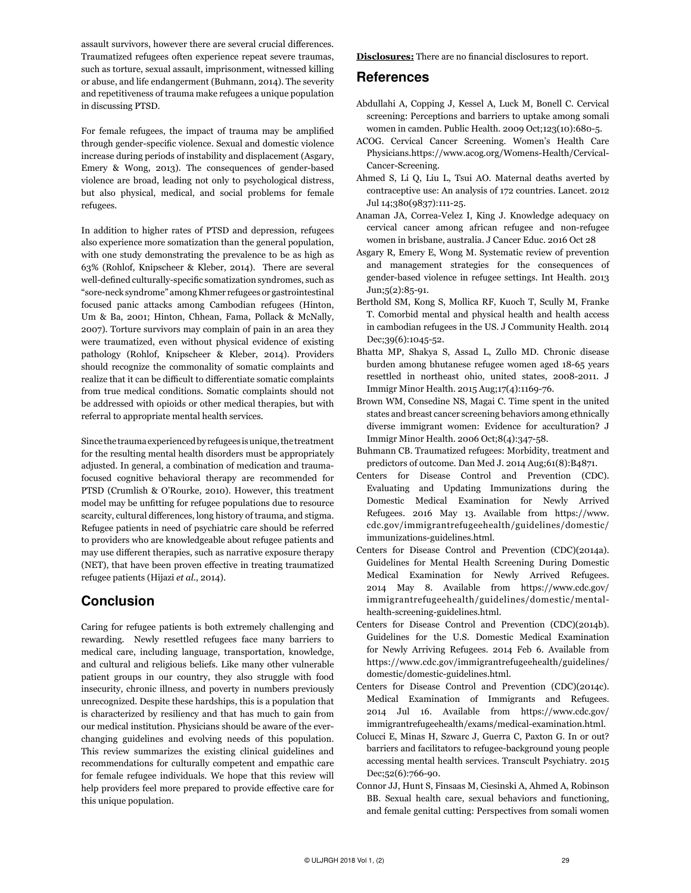assault survivors, however there are several crucial differences. Traumatized refugees often experience repeat severe traumas, such as torture, sexual assault, imprisonment, witnessed killing or abuse, and life endangerment (Buhmann, 2014). The severity and repetitiveness of trauma make refugees a unique population in discussing PTSD.

For female refugees, the impact of trauma may be amplified through gender-specific violence. Sexual and domestic violence increase during periods of instability and displacement (Asgary, Emery & Wong, 2013). The consequences of gender-based violence are broad, leading not only to psychological distress, but also physical, medical, and social problems for female refugees.

In addition to higher rates of PTSD and depression, refugees also experience more somatization than the general population, with one study demonstrating the prevalence to be as high as 63% (Rohlof, Knipscheer & Kleber, 2014). There are several well-defined culturally-specific somatization syndromes, such as "sore-neck syndrome" among Khmer refugees or gastrointestinal focused panic attacks among Cambodian refugees (Hinton, Um & Ba, 2001; Hinton, Chhean, Fama, Pollack & McNally, 2007). Torture survivors may complain of pain in an area they were traumatized, even without physical evidence of existing pathology (Rohlof, Knipscheer & Kleber, 2014). Providers should recognize the commonality of somatic complaints and realize that it can be difficult to differentiate somatic complaints from true medical conditions. Somatic complaints should not be addressed with opioids or other medical therapies, but with referral to appropriate mental health services.

Since the trauma experienced by refugees is unique, the treatment for the resulting mental health disorders must be appropriately adjusted. In general, a combination of medication and traumafocused cognitive behavioral therapy are recommended for PTSD (Crumlish & O'Rourke, 2010). However, this treatment model may be unfitting for refugee populations due to resource scarcity, cultural differences, long history of trauma, and stigma. Refugee patients in need of psychiatric care should be referred to providers who are knowledgeable about refugee patients and may use different therapies, such as narrative exposure therapy (NET), that have been proven effective in treating traumatized refugee patients (Hijazi *et al.*, 2014).

# Conclusion

Caring for refugee patients is both extremely challenging and rewarding. Newly resettled refugees face many barriers to medical care, including language, transportation, knowledge, and cultural and religious beliefs. Like many other vulnerable patient groups in our country, they also struggle with food insecurity, chronic illness, and poverty in numbers previously unrecognized. Despite these hardships, this is a population that is characterized by resiliency and that has much to gain from our medical institution. Physicians should be aware of the everchanging guidelines and evolving needs of this population. This review summarizes the existing clinical guidelines and recommendations for culturally competent and empathic care for female refugee individuals. We hope that this review will help providers feel more prepared to provide effective care for this unique population.

**Disclosures:** There are no financial disclosures to report.

# References

- Abdullahi A, Copping J, Kessel A, Luck M, Bonell C. Cervical screening: Perceptions and barriers to uptake among somali women in camden. Public Health. 2009 Oct;123(10):680-5.
- ACOG. Cervical Cancer Screening. Women's Health Care Physicians.https://www.acog.org/Womens-Health/Cervical-Cancer-Screening.
- Ahmed S, Li Q, Liu L, Tsui AO. Maternal deaths averted by contraceptive use: An analysis of 172 countries. Lancet. 2012 Jul 14;380(9837):111-25.
- Anaman JA, Correa-Velez I, King J. Knowledge adequacy on cervical cancer among african refugee and non-refugee women in brisbane, australia. J Cancer Educ. 2016 Oct 28
- Asgary R, Emery E, Wong M. Systematic review of prevention and management strategies for the consequences of gender-based violence in refugee settings. Int Health. 2013 Jun;5(2):85-91.
- Berthold SM, Kong S, Mollica RF, Kuoch T, Scully M, Franke T. Comorbid mental and physical health and health access in cambodian refugees in the US. J Community Health. 2014 Dec;39(6):1045-52.
- Bhatta MP, Shakya S, Assad L, Zullo MD. Chronic disease burden among bhutanese refugee women aged 18-65 years resettled in northeast ohio, united states, 2008-2011. J Immigr Minor Health. 2015 Aug;17(4):1169-76.
- Brown WM, Consedine NS, Magai C. Time spent in the united states and breast cancer screening behaviors among ethnically diverse immigrant women: Evidence for acculturation? J Immigr Minor Health. 2006 Oct;8(4):347-58.
- Buhmann CB. Traumatized refugees: Morbidity, treatment and predictors of outcome. Dan Med J. 2014 Aug;61(8):B4871.
- Centers for Disease Control and Prevention (CDC). Evaluating and Updating Immunizations during the Domestic Medical Examination for Newly Arrived Refugees. 2016 May 13. Available from https://www. cdc.gov/immigrantrefugeehealth/guidelines/domestic/ immunizations-guidelines.html.
- Centers for Disease Control and Prevention (CDC)(2014a). Guidelines for Mental Health Screening During Domestic Medical Examination for Newly Arrived Refugees. 2014 May 8. Available from https://www.cdc.gov/ immigrantrefugeehealth/guidelines/domestic/mentalhealth-screening-guidelines.html.
- Centers for Disease Control and Prevention (CDC)(2014b). Guidelines for the U.S. Domestic Medical Examination for Newly Arriving Refugees. 2014 Feb 6. Available from https://www.cdc.gov/immigrantrefugeehealth/guidelines/ domestic/domestic-guidelines.html.
- Centers for Disease Control and Prevention (CDC)(2014c). Medical Examination of Immigrants and Refugees. 2014 Jul 16. Available from https://www.cdc.gov/ immigrantrefugeehealth/exams/medical-examination.html.
- Colucci E, Minas H, Szwarc J, Guerra C, Paxton G. In or out? barriers and facilitators to refugee-background young people accessing mental health services. Transcult Psychiatry. 2015 Dec;52(6):766-90.
- Connor JJ, Hunt S, Finsaas M, Ciesinski A, Ahmed A, Robinson BB. Sexual health care, sexual behaviors and functioning, and female genital cutting: Perspectives from somali women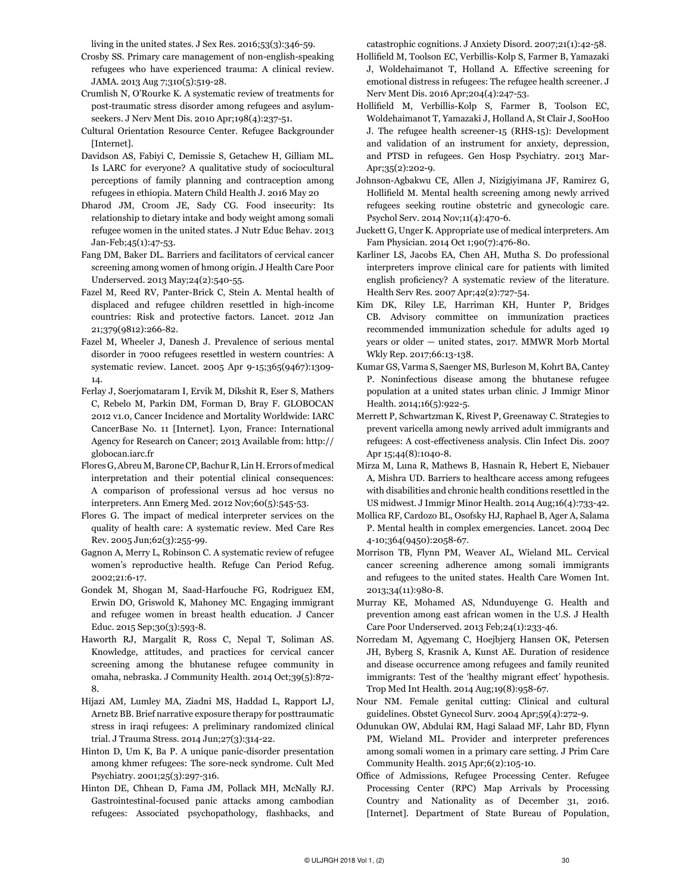living in the united states. J Sex Res. 2016;53(3):346-59.

- Crosby SS. Primary care management of non-english-speaking refugees who have experienced trauma: A clinical review. JAMA. 2013 Aug 7;310(5):519-28.
- Crumlish N, O'Rourke K. A systematic review of treatments for post-traumatic stress disorder among refugees and asylumseekers. J Nerv Ment Dis. 2010 Apr;198(4):237-51.
- Cultural Orientation Resource Center. Refugee Backgrounder [Internet].
- Davidson AS, Fabiyi C, Demissie S, Getachew H, Gilliam ML. Is LARC for everyone? A qualitative study of sociocultural perceptions of family planning and contraception among refugees in ethiopia. Matern Child Health J. 2016 May 20
- Dharod JM, Croom JE, Sady CG. Food insecurity: Its relationship to dietary intake and body weight among somali refugee women in the united states. J Nutr Educ Behav. 2013 Jan-Feb;45(1):47-53.
- Fang DM, Baker DL. Barriers and facilitators of cervical cancer screening among women of hmong origin. J Health Care Poor Underserved. 2013 May;24(2):540-55.
- Fazel M, Reed RV, Panter-Brick C, Stein A. Mental health of displaced and refugee children resettled in high-income countries: Risk and protective factors. Lancet. 2012 Jan 21;379(9812):266-82.
- Fazel M, Wheeler J, Danesh J. Prevalence of serious mental disorder in 7000 refugees resettled in western countries: A systematic review. Lancet. 2005 Apr 9-15;365(9467):1309- 14.
- Ferlay J, Soerjomataram I, Ervik M, Dikshit R, Eser S, Mathers C, Rebelo M, Parkin DM, Forman D, Bray F. GLOBOCAN 2012 v1.0, Cancer Incidence and Mortality Worldwide: IARC CancerBase No. 11 [Internet]. Lyon, France: International Agency for Research on Cancer; 2013 Available from: http:// globocan.iarc.fr
- Flores G, Abreu M, Barone CP, Bachur R, Lin H. Errors of medical interpretation and their potential clinical consequences: A comparison of professional versus ad hoc versus no interpreters. Ann Emerg Med. 2012 Nov;60(5):545-53.
- Flores G. The impact of medical interpreter services on the quality of health care: A systematic review. Med Care Res Rev. 2005 Jun;62(3):255-99.
- Gagnon A, Merry L, Robinson C. A systematic review of refugee women's reproductive health. Refuge Can Period Refug. 2002;21:6-17.
- Gondek M, Shogan M, Saad-Harfouche FG, Rodriguez EM, Erwin DO, Griswold K, Mahoney MC. Engaging immigrant and refugee women in breast health education. J Cancer Educ. 2015 Sep;30(3):593-8.
- Haworth RJ, Margalit R, Ross C, Nepal T, Soliman AS. Knowledge, attitudes, and practices for cervical cancer screening among the bhutanese refugee community in omaha, nebraska. J Community Health. 2014 Oct;39(5):872- 8.
- Hijazi AM, Lumley MA, Ziadni MS, Haddad L, Rapport LJ, Arnetz BB. Brief narrative exposure therapy for posttraumatic stress in iraqi refugees: A preliminary randomized clinical trial. J Trauma Stress. 2014 Jun;27(3):314-22.
- Hinton D, Um K, Ba P. A unique panic-disorder presentation among khmer refugees: The sore-neck syndrome. Cult Med Psychiatry. 2001;25(3):297-316.
- Hinton DE, Chhean D, Fama JM, Pollack MH, McNally RJ. Gastrointestinal-focused panic attacks among cambodian refugees: Associated psychopathology, flashbacks, and

catastrophic cognitions. J Anxiety Disord. 2007;21(1):42-58.

- Hollifield M, Toolson EC, Verbillis-Kolp S, Farmer B, Yamazaki J, Woldehaimanot T, Holland A. Effective screening for emotional distress in refugees: The refugee health screener. J Nerv Ment Dis. 2016 Apr;204(4):247-53.
- Hollifield M, Verbillis-Kolp S, Farmer B, Toolson EC, Woldehaimanot T, Yamazaki J, Holland A, St Clair J, SooHoo J. The refugee health screener-15 (RHS-15): Development and validation of an instrument for anxiety, depression, and PTSD in refugees. Gen Hosp Psychiatry. 2013 Mar-Apr;35(2):202-9.
- Johnson-Agbakwu CE, Allen J, Nizigiyimana JF, Ramirez G, Hollifield M. Mental health screening among newly arrived refugees seeking routine obstetric and gynecologic care. Psychol Serv. 2014 Nov;11(4):470-6.
- Juckett G, Unger K. Appropriate use of medical interpreters. Am Fam Physician. 2014 Oct 1;90(7):476-80.
- Karliner LS, Jacobs EA, Chen AH, Mutha S. Do professional interpreters improve clinical care for patients with limited english proficiency? A systematic review of the literature. Health Serv Res. 2007 Apr;42(2):727-54.
- Kim DK, Riley LE, Harriman KH, Hunter P, Bridges CB. Advisory committee on immunization practices recommended immunization schedule for adults aged 19 years or older — united states, 2017. MMWR Morb Mortal Wkly Rep. 2017;66:13-138.
- Kumar GS, Varma S, Saenger MS, Burleson M, Kohrt BA, Cantey P. Noninfectious disease among the bhutanese refugee population at a united states urban clinic. J Immigr Minor Health. 2014;16(5):922-5.
- Merrett P, Schwartzman K, Rivest P, Greenaway C. Strategies to prevent varicella among newly arrived adult immigrants and refugees: A cost-effectiveness analysis. Clin Infect Dis. 2007 Apr 15;44(8):1040-8.
- Mirza M, Luna R, Mathews B, Hasnain R, Hebert E, Niebauer A, Mishra UD. Barriers to healthcare access among refugees with disabilities and chronic health conditions resettled in the US midwest. J Immigr Minor Health. 2014 Aug;16(4):733-42.
- Mollica RF, Cardozo BL, Osofsky HJ, Raphael B, Ager A, Salama P. Mental health in complex emergencies. Lancet. 2004 Dec 4-10;364(9450):2058-67.
- Morrison TB, Flynn PM, Weaver AL, Wieland ML. Cervical cancer screening adherence among somali immigrants and refugees to the united states. Health Care Women Int. 2013;34(11):980-8.
- Murray KE, Mohamed AS, Ndunduyenge G. Health and prevention among east african women in the U.S. J Health Care Poor Underserved. 2013 Feb;24(1):233-46.
- Norredam M, Agyemang C, Hoejbjerg Hansen OK, Petersen JH, Byberg S, Krasnik A, Kunst AE. Duration of residence and disease occurrence among refugees and family reunited immigrants: Test of the 'healthy migrant effect' hypothesis. Trop Med Int Health. 2014 Aug;19(8):958-67.
- Nour NM. Female genital cutting: Clinical and cultural guidelines. Obstet Gynecol Surv. 2004 Apr;59(4):272-9.
- Odunukan OW, Abdulai RM, Hagi Salaad MF, Lahr BD, Flynn PM, Wieland ML. Provider and interpreter preferences among somali women in a primary care setting. J Prim Care Community Health. 2015 Apr;6(2):105-10.
- Office of Admissions, Refugee Processing Center. Refugee Processing Center (RPC) Map Arrivals by Processing Country and Nationality as of December 31, 2016. [Internet]. Department of State Bureau of Population,